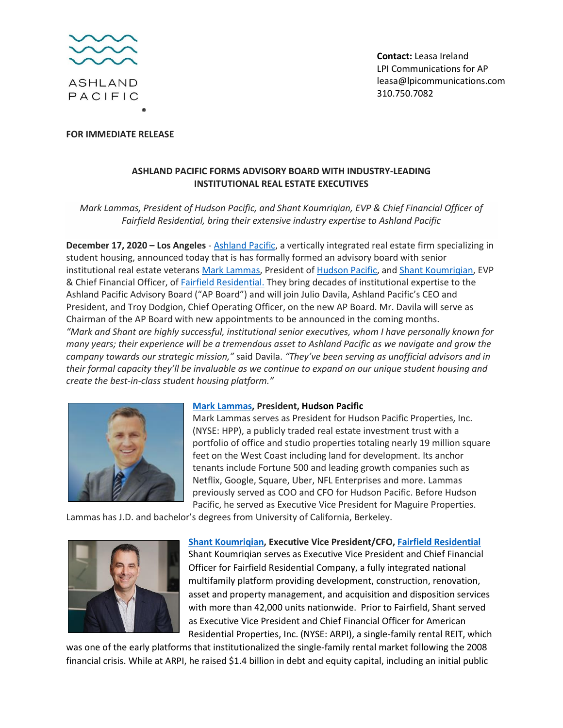

**FOR IMMEDIATE RELEASE**

**Contact:** Leasa Ireland LPI Communications for AP [leasa@lpicommunications.com](mailto:leasa@lpicommunications.com) 310.750.7082

## **ASHLAND PACIFIC FORMS ADVISORY BOARD WITH INDUSTRY-LEADING INSTITUTIONAL REAL ESTATE EXECUTIVES**

*Mark Lammas, President of Hudson Pacific, and Shant Koumriqian, EVP & Chief Financial Officer of Fairfield Residential, bring their extensive industry expertise to Ashland Pacific* 

**December 17, 2020 – Los Angeles** - [Ashland Pacific,](http://www.ashlandpacific.com/) a vertically integrated real estate firm specializing in student housing, announced today that is has formally formed an advisory board with senior institutional real estate veteran[s Mark Lammas,](https://investors.hudsonpacificproperties.com/leadership-and-governance/executive-management/default.aspx) President o[f Hudson Pacific,](https://www.hudsonpacificproperties.com/) an[d Shant Koumriqian,](https://www.fairfieldresidential.com/about-us/) EVP & Chief Financial Officer, of [Fairfield Residential.](https://www.fairfieldresidential.com/about-us/) They bring decades of institutional expertise to the Ashland Pacific Advisory Board ("AP Board") and will join Julio Davila, Ashland Pacific's CEO and President, and Troy Dodgion, Chief Operating Officer, on the new AP Board. Mr. Davila will serve as Chairman of the AP Board with new appointments to be announced in the coming months. *"Mark and Shant are highly successful, institutional senior executives, whom I have personally known for many years; their experience will be a tremendous asset to Ashland Pacific as we navigate and grow the company towards our strategic mission,"* said Davila. *"They've been serving as unofficial advisors and in their formal capacity they'll be invaluable as we continue to expand on our unique student housing and create the best-in-class student housing platform."*



## **[Mark Lammas,](https://www.linkedin.com/in/mark-lammas-89b84478/) President, Hudson Pacific**

Mark Lammas serves as President for Hudson Pacific Properties, Inc. (NYSE: HPP), a publicly traded real estate investment trust with a portfolio of office and studio properties totaling nearly 19 million square feet on the West Coast including land for development. Its anchor tenants include Fortune 500 and leading growth companies such as Netflix, Google, Square, Uber, NFL Enterprises and more. Lammas previously served as COO and CFO for Hudson Pacific. Before Hudson Pacific, he served as Executive Vice President for Maguire Properties.

Lammas has J.D. and bachelor's degrees from University of California, Berkeley.



**[Shant Koumriqian,](https://www.linkedin.com/in/shant-koumriqian-5a5059122/) Executive Vice President/CFO, [Fairfield Residential](https://www.fairfieldresidential.com/about-us/)** Shant Koumriqian serves as Executive Vice President and Chief Financial Officer for Fairfield Residential Company, a fully integrated national multifamily platform providing development, construction, renovation, asset and property management, and acquisition and disposition services with more than 42,000 units nationwide. Prior to Fairfield, Shant served as Executive Vice President and Chief Financial Officer for American Residential Properties, Inc. (NYSE: ARPI), a single-family rental REIT, which

was one of the early platforms that institutionalized the single-family rental market following the 2008 financial crisis. While at ARPI, he raised \$1.4 billion in debt and equity capital, including an initial public